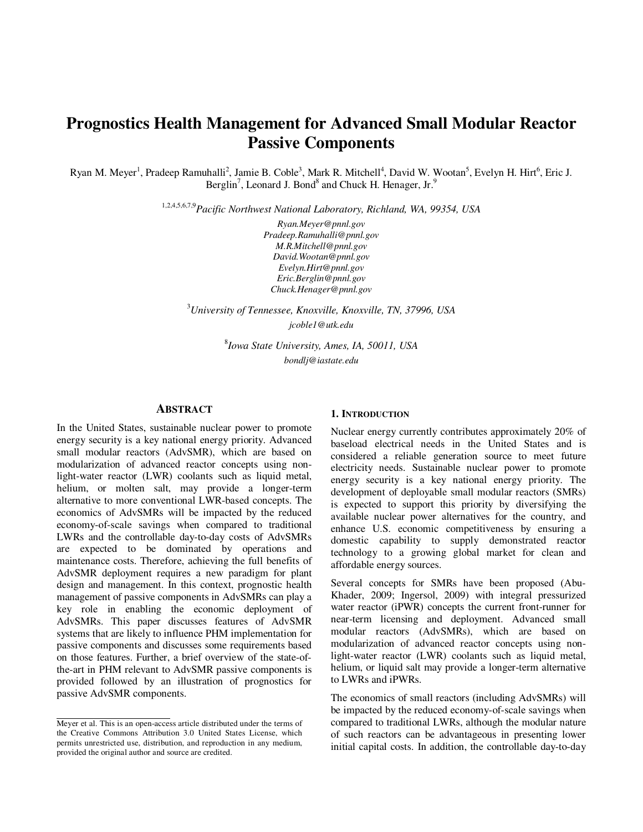# **Prognostics Health Management for Advanced Small Modular Reactor Passive Components**

Ryan M. Meyer<sup>1</sup>, Pradeep Ramuhalli<sup>2</sup>, Jamie B. Coble<sup>3</sup>, Mark R. Mitchell<sup>4</sup>, David W. Wootan<sup>5</sup>, Evelyn H. Hirt<sup>6</sup>, Eric J. Berglin<sup>7</sup>, Leonard J. Bond<sup>8</sup> and Chuck H. Henager, Jr.<sup>9</sup>

1,2,4,5,6,7,9*Pacific Northwest National Laboratory, Richland, WA, 99354, USA* 

*Ryan.Meyer@pnnl.gov Pradeep.Ramuhalli@pnnl.gov M.R.Mitchell@pnnl.gov David.Wootan@pnnl.gov Evelyn.Hirt@pnnl.gov Eric.Berglin@pnnl.gov Chuck.Henager@pnnl.gov* 

<sup>3</sup>*University of Tennessee, Knoxville, Knoxville, TN, 37996, USA* 

*jcoble1@utk.edu* 

8 *Iowa State University, Ames, IA, 50011, USA bondlj@iastate.edu* 

#### **ABSTRACT**

In the United States, sustainable nuclear power to promote energy security is a key national energy priority. Advanced small modular reactors (AdvSMR), which are based on modularization of advanced reactor concepts using nonlight-water reactor (LWR) coolants such as liquid metal, helium, or molten salt, may provide a longer-term alternative to more conventional LWR-based concepts. The economics of AdvSMRs will be impacted by the reduced economy-of-scale savings when compared to traditional LWRs and the controllable day-to-day costs of AdvSMRs are expected to be dominated by operations and maintenance costs. Therefore, achieving the full benefits of AdvSMR deployment requires a new paradigm for plant design and management. In this context, prognostic health management of passive components in AdvSMRs can play a key role in enabling the economic deployment of AdvSMRs. This paper discusses features of AdvSMR systems that are likely to influence PHM implementation for passive components and discusses some requirements based on those features. Further, a brief overview of the state-ofthe-art in PHM relevant to AdvSMR passive components is provided followed by an illustration of prognostics for passive AdvSMR components.

#### **1. INTRODUCTION**

Nuclear energy currently contributes approximately 20% of baseload electrical needs in the United States and is considered a reliable generation source to meet future electricity needs. Sustainable nuclear power to promote energy security is a key national energy priority. The development of deployable small modular reactors (SMRs) is expected to support this priority by diversifying the available nuclear power alternatives for the country, and enhance U.S. economic competitiveness by ensuring a domestic capability to supply demonstrated reactor technology to a growing global market for clean and affordable energy sources.

Several concepts for SMRs have been proposed (Abu-Khader, 2009; Ingersol, 2009) with integral pressurized water reactor (iPWR) concepts the current front-runner for near-term licensing and deployment. Advanced small modular reactors (AdvSMRs), which are based on modularization of advanced reactor concepts using nonlight-water reactor (LWR) coolants such as liquid metal, helium, or liquid salt may provide a longer-term alternative to LWRs and iPWRs.

The economics of small reactors (including AdvSMRs) will be impacted by the reduced economy-of-scale savings when compared to traditional LWRs, although the modular nature of such reactors can be advantageous in presenting lower initial capital costs. In addition, the controllable day-to-day

Meyer et al. This is an open-access article distributed under the terms of the Creative Commons Attribution 3.0 United States License, which permits unrestricted use, distribution, and reproduction in any medium, provided the original author and source are credited.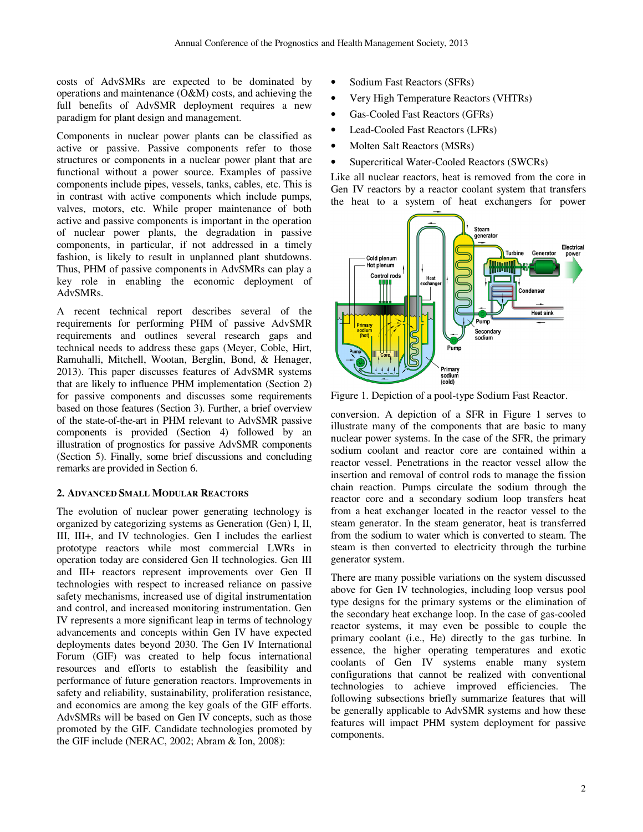costs of AdvSMRs are expected to be dominated by operations and maintenance (O&M) costs, and achieving the full benefits of AdvSMR deployment requires a new paradigm for plant design and management.

Components in nuclear power plants can be classified as active or passive. Passive components refer to those structures or components in a nuclear power plant that are functional without a power source. Examples of passive components include pipes, vessels, tanks, cables, etc. This is in contrast with active components which include pumps, valves, motors, etc. While proper maintenance of both active and passive components is important in the operation of nuclear power plants, the degradation in passive components, in particular, if not addressed in a timely fashion, is likely to result in unplanned plant shutdowns. Thus, PHM of passive components in AdvSMRs can play a key role in enabling the economic deployment of AdvSMRs.

A recent technical report describes several of the requirements for performing PHM of passive AdvSMR requirements and outlines several research gaps and technical needs to address these gaps (Meyer, Coble, Hirt, Ramuhalli, Mitchell, Wootan, Berglin, Bond, & Henager, 2013). This paper discusses features of AdvSMR systems that are likely to influence PHM implementation (Section 2) for passive components and discusses some requirements based on those features (Section 3). Further, a brief overview of the state-of-the-art in PHM relevant to AdvSMR passive components is provided (Section 4) followed by an illustration of prognostics for passive AdvSMR components (Section 5). Finally, some brief discussions and concluding remarks are provided in Section 6.

# **2. ADVANCED SMALL MODULAR REACTORS**

The evolution of nuclear power generating technology is organized by categorizing systems as Generation (Gen) I, II, III, III+, and IV technologies. Gen I includes the earliest prototype reactors while most commercial LWRs in operation today are considered Gen II technologies. Gen III and III+ reactors represent improvements over Gen II technologies with respect to increased reliance on passive safety mechanisms, increased use of digital instrumentation and control, and increased monitoring instrumentation. Gen IV represents a more significant leap in terms of technology advancements and concepts within Gen IV have expected deployments dates beyond 2030. The Gen IV International Forum (GIF) was created to help focus international resources and efforts to establish the feasibility and performance of future generation reactors. Improvements in safety and reliability, sustainability, proliferation resistance, and economics are among the key goals of the GIF efforts. AdvSMRs will be based on Gen IV concepts, such as those promoted by the GIF. Candidate technologies promoted by the GIF include (NERAC, 2002; Abram & Ion, 2008):

- Sodium Fast Reactors (SFRs)
- Very High Temperature Reactors (VHTRs)
- Gas-Cooled Fast Reactors (GFRs)
- Lead-Cooled Fast Reactors (LFRs)
- Molten Salt Reactors (MSRs)
- Supercritical Water-Cooled Reactors (SWCRs)

Like all nuclear reactors, heat is removed from the core in Gen IV reactors by a reactor coolant system that transfers the heat to a system of heat exchangers for power



Figure 1. Depiction of a pool-type Sodium Fast Reactor.

conversion. A depiction of a SFR in Figure 1 serves to illustrate many of the components that are basic to many nuclear power systems. In the case of the SFR, the primary sodium coolant and reactor core are contained within a reactor vessel. Penetrations in the reactor vessel allow the insertion and removal of control rods to manage the fission chain reaction. Pumps circulate the sodium through the reactor core and a secondary sodium loop transfers heat from a heat exchanger located in the reactor vessel to the steam generator. In the steam generator, heat is transferred from the sodium to water which is converted to steam. The steam is then converted to electricity through the turbine generator system.

There are many possible variations on the system discussed above for Gen IV technologies, including loop versus pool type designs for the primary systems or the elimination of the secondary heat exchange loop. In the case of gas-cooled reactor systems, it may even be possible to couple the primary coolant (i.e., He) directly to the gas turbine. In essence, the higher operating temperatures and exotic coolants of Gen IV systems enable many system configurations that cannot be realized with conventional technologies to achieve improved efficiencies. The following subsections briefly summarize features that will be generally applicable to AdvSMR systems and how these features will impact PHM system deployment for passive components.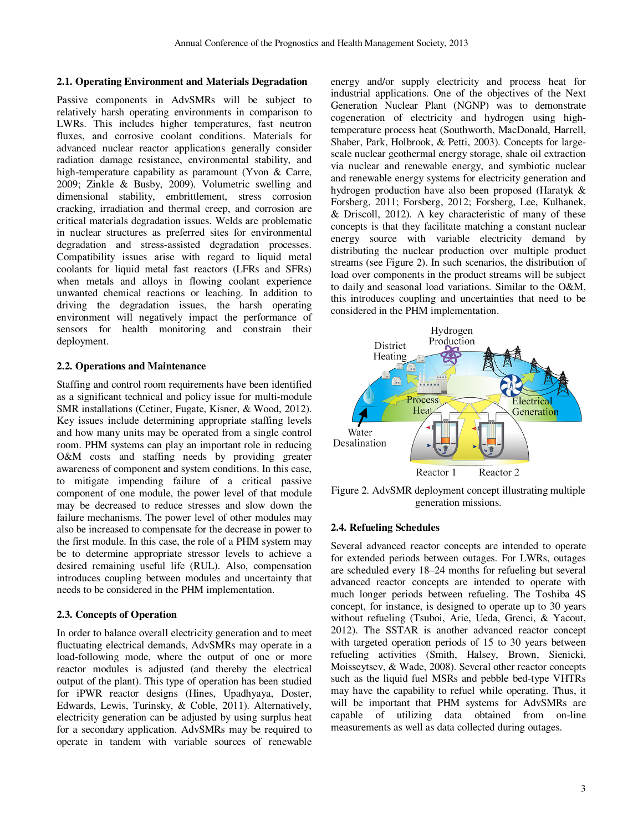## **2.1. Operating Environment and Materials Degradation**

Passive components in AdvSMRs will be subject to relatively harsh operating environments in comparison to LWRs. This includes higher temperatures, fast neutron fluxes, and corrosive coolant conditions. Materials for advanced nuclear reactor applications generally consider radiation damage resistance, environmental stability, and high-temperature capability as paramount (Yvon & Carre, 2009; Zinkle & Busby, 2009). Volumetric swelling and dimensional stability, embrittlement, stress corrosion cracking, irradiation and thermal creep, and corrosion are critical materials degradation issues. Welds are problematic in nuclear structures as preferred sites for environmental degradation and stress-assisted degradation processes. Compatibility issues arise with regard to liquid metal coolants for liquid metal fast reactors (LFRs and SFRs) when metals and alloys in flowing coolant experience unwanted chemical reactions or leaching. In addition to driving the degradation issues, the harsh operating environment will negatively impact the performance of sensors for health monitoring and constrain their deployment.

#### **2.2. Operations and Maintenance**

Staffing and control room requirements have been identified as a significant technical and policy issue for multi-module SMR installations (Cetiner, Fugate, Kisner, & Wood, 2012). Key issues include determining appropriate staffing levels and how many units may be operated from a single control room. PHM systems can play an important role in reducing O&M costs and staffing needs by providing greater awareness of component and system conditions. In this case, to mitigate impending failure of a critical passive component of one module, the power level of that module may be decreased to reduce stresses and slow down the failure mechanisms. The power level of other modules may also be increased to compensate for the decrease in power to the first module. In this case, the role of a PHM system may be to determine appropriate stressor levels to achieve a desired remaining useful life (RUL). Also, compensation introduces coupling between modules and uncertainty that needs to be considered in the PHM implementation.

#### **2.3. Concepts of Operation**

In order to balance overall electricity generation and to meet fluctuating electrical demands, AdvSMRs may operate in a load-following mode, where the output of one or more reactor modules is adjusted (and thereby the electrical output of the plant). This type of operation has been studied for iPWR reactor designs (Hines, Upadhyaya, Doster, Edwards, Lewis, Turinsky, & Coble, 2011). Alternatively, electricity generation can be adjusted by using surplus heat for a secondary application. AdvSMRs may be required to operate in tandem with variable sources of renewable

energy and/or supply electricity and process heat for industrial applications. One of the objectives of the Next Generation Nuclear Plant (NGNP) was to demonstrate cogeneration of electricity and hydrogen using hightemperature process heat (Southworth, MacDonald, Harrell, Shaber, Park, Holbrook, & Petti, 2003). Concepts for largescale nuclear geothermal energy storage, shale oil extraction via nuclear and renewable energy, and symbiotic nuclear and renewable energy systems for electricity generation and hydrogen production have also been proposed (Haratyk & Forsberg, 2011; Forsberg, 2012; Forsberg, Lee, Kulhanek, & Driscoll, 2012). A key characteristic of many of these concepts is that they facilitate matching a constant nuclear energy source with variable electricity demand by distributing the nuclear production over multiple product streams (see Figure 2). In such scenarios, the distribution of load over components in the product streams will be subject to daily and seasonal load variations. Similar to the O&M, this introduces coupling and uncertainties that need to be considered in the PHM implementation.



Figure 2. AdvSMR deployment concept illustrating multiple generation missions.

#### **2.4. Refueling Schedules**

Several advanced reactor concepts are intended to operate for extended periods between outages. For LWRs, outages are scheduled every 18–24 months for refueling but several advanced reactor concepts are intended to operate with much longer periods between refueling. The Toshiba 4S concept, for instance, is designed to operate up to 30 years without refueling (Tsuboi, Arie, Ueda, Grenci, & Yacout, 2012). The SSTAR is another advanced reactor concept with targeted operation periods of 15 to 30 years between refueling activities (Smith, Halsey, Brown, Sienicki, Moisseytsev, & Wade, 2008). Several other reactor concepts such as the liquid fuel MSRs and pebble bed-type VHTRs may have the capability to refuel while operating. Thus, it will be important that PHM systems for AdvSMRs are capable of utilizing data obtained from on-line measurements as well as data collected during outages.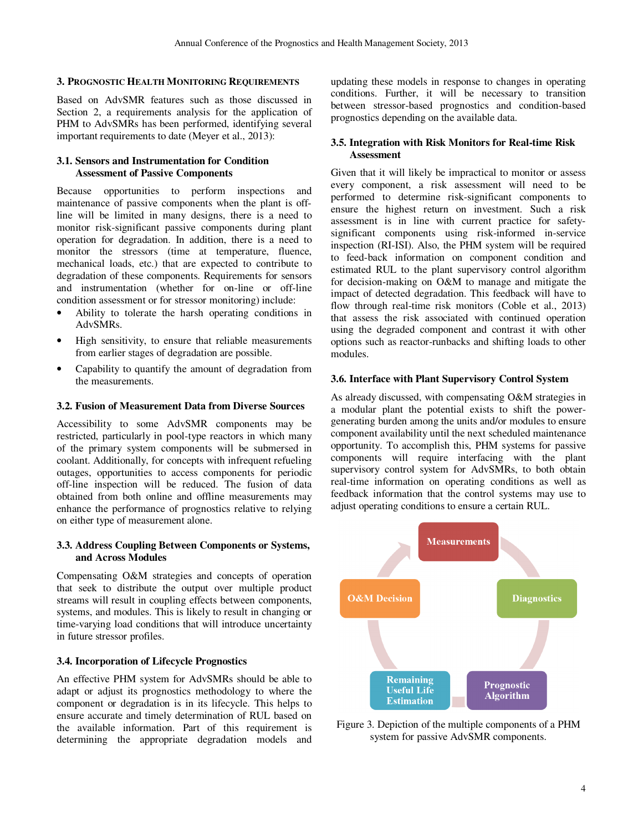## **3. PROGNOSTIC HEALTH MONITORING REQUIREMENTS**

Based on AdvSMR features such as those discussed in Section 2, a requirements analysis for the application of PHM to AdvSMRs has been performed, identifying several important requirements to date (Meyer et al., 2013):

## **3.1. Sensors and Instrumentation for Condition Assessment of Passive Components**

Because opportunities to perform inspections and maintenance of passive components when the plant is offline will be limited in many designs, there is a need to monitor risk-significant passive components during plant operation for degradation. In addition, there is a need to monitor the stressors (time at temperature, fluence, mechanical loads, etc.) that are expected to contribute to degradation of these components. Requirements for sensors and instrumentation (whether for on-line or off-line condition assessment or for stressor monitoring) include:

- Ability to tolerate the harsh operating conditions in AdvSMRs.
- High sensitivity, to ensure that reliable measurements from earlier stages of degradation are possible.
- Capability to quantify the amount of degradation from the measurements.

## **3.2. Fusion of Measurement Data from Diverse Sources**

Accessibility to some AdvSMR components may be restricted, particularly in pool-type reactors in which many of the primary system components will be submersed in coolant. Additionally, for concepts with infrequent refueling outages, opportunities to access components for periodic off-line inspection will be reduced. The fusion of data obtained from both online and offline measurements may enhance the performance of prognostics relative to relying on either type of measurement alone.

## **3.3. Address Coupling Between Components or Systems, and Across Modules**

Compensating O&M strategies and concepts of operation that seek to distribute the output over multiple product streams will result in coupling effects between components, systems, and modules. This is likely to result in changing or time-varying load conditions that will introduce uncertainty in future stressor profiles.

## **3.4. Incorporation of Lifecycle Prognostics**

An effective PHM system for AdvSMRs should be able to adapt or adjust its prognostics methodology to where the component or degradation is in its lifecycle. This helps to ensure accurate and timely determination of RUL based on the available information. Part of this requirement is determining the appropriate degradation models and updating these models in response to changes in operating conditions. Further, it will be necessary to transition between stressor-based prognostics and condition-based prognostics depending on the available data.

## **3.5. Integration with Risk Monitors for Real-time Risk Assessment**

Given that it will likely be impractical to monitor or assess every component, a risk assessment will need to be performed to determine risk-significant components to ensure the highest return on investment. Such a risk assessment is in line with current practice for safetysignificant components using risk-informed in-service inspection (RI-ISI). Also, the PHM system will be required to feed-back information on component condition and estimated RUL to the plant supervisory control algorithm for decision-making on O&M to manage and mitigate the impact of detected degradation. This feedback will have to flow through real-time risk monitors (Coble et al., 2013) that assess the risk associated with continued operation using the degraded component and contrast it with other options such as reactor-runbacks and shifting loads to other modules.

## **3.6. Interface with Plant Supervisory Control System**

As already discussed, with compensating O&M strategies in a modular plant the potential exists to shift the powergenerating burden among the units and/or modules to ensure component availability until the next scheduled maintenance opportunity. To accomplish this, PHM systems for passive components will require interfacing with the plant supervisory control system for AdvSMRs, to both obtain real-time information on operating conditions as well as feedback information that the control systems may use to adjust operating conditions to ensure a certain RUL.



Figure 3. Depiction of the multiple components of a PHM system for passive AdvSMR components.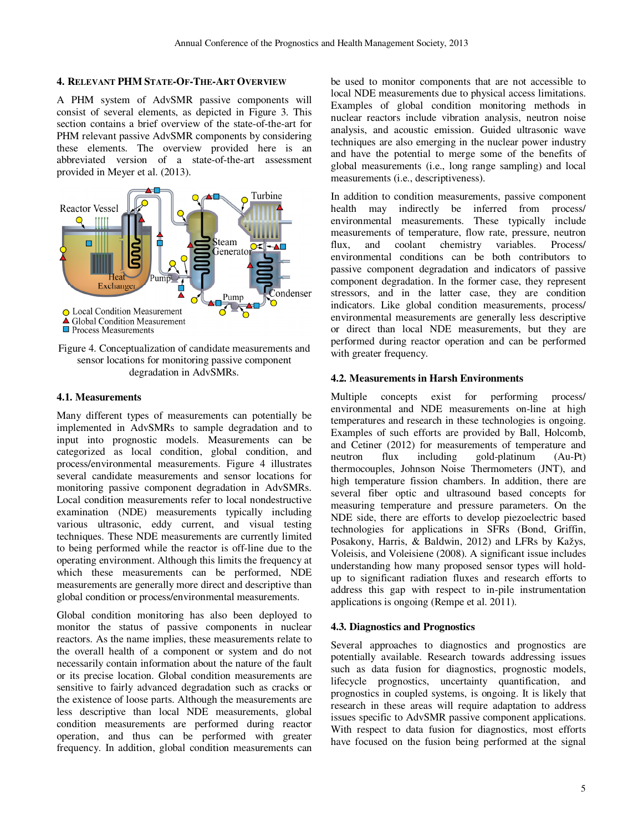# **4. RELEVANT PHM STATE-OF-THE-ART OVERVIEW**

A PHM system of AdvSMR passive components will consist of several elements, as depicted in Figure 3. This section contains a brief overview of the state-of-the-art for PHM relevant passive AdvSMR components by considering these elements. The overview provided here is an abbreviated version of a state-of-the-art assessment provided in Meyer et al. (2013).



Figure 4. Conceptualization of candidate measurements and sensor locations for monitoring passive component degradation in AdvSMRs.

## **4.1. Measurements**

Many different types of measurements can potentially be implemented in AdvSMRs to sample degradation and to input into prognostic models. Measurements can be categorized as local condition, global condition, and process/environmental measurements. Figure 4 illustrates several candidate measurements and sensor locations for monitoring passive component degradation in AdvSMRs. Local condition measurements refer to local nondestructive examination (NDE) measurements typically including various ultrasonic, eddy current, and visual testing techniques. These NDE measurements are currently limited to being performed while the reactor is off-line due to the operating environment. Although this limits the frequency at which these measurements can be performed, NDE measurements are generally more direct and descriptive than global condition or process/environmental measurements.

Global condition monitoring has also been deployed to monitor the status of passive components in nuclear reactors. As the name implies, these measurements relate to the overall health of a component or system and do not necessarily contain information about the nature of the fault or its precise location. Global condition measurements are sensitive to fairly advanced degradation such as cracks or the existence of loose parts. Although the measurements are less descriptive than local NDE measurements, global condition measurements are performed during reactor operation, and thus can be performed with greater frequency. In addition, global condition measurements can

be used to monitor components that are not accessible to local NDE measurements due to physical access limitations. Examples of global condition monitoring methods in nuclear reactors include vibration analysis, neutron noise analysis, and acoustic emission. Guided ultrasonic wave techniques are also emerging in the nuclear power industry and have the potential to merge some of the benefits of global measurements (i.e., long range sampling) and local measurements (i.e., descriptiveness).

In addition to condition measurements, passive component health may indirectly be inferred from process/ environmental measurements. These typically include measurements of temperature, flow rate, pressure, neutron<br>flux. and coolant chemistry variables. Process/ flux, and coolant chemistry variables. Process/ environmental conditions can be both contributors to passive component degradation and indicators of passive component degradation. In the former case, they represent stressors, and in the latter case, they are condition indicators. Like global condition measurements, process/ environmental measurements are generally less descriptive or direct than local NDE measurements, but they are performed during reactor operation and can be performed with greater frequency.

# **4.2. Measurements in Harsh Environments**

Multiple concepts exist for performing process/ environmental and NDE measurements on-line at high temperatures and research in these technologies is ongoing. Examples of such efforts are provided by Ball, Holcomb, and Cetiner (2012) for measurements of temperature and neutron flux including gold-platinum (Au-Pt) thermocouples, Johnson Noise Thermometers (JNT), and high temperature fission chambers. In addition, there are several fiber optic and ultrasound based concepts for measuring temperature and pressure parameters. On the NDE side, there are efforts to develop piezoelectric based technologies for applications in SFRs (Bond, Griffin, Posakony, Harris, & Baldwin, 2012) and LFRs by Kažys, Voleisis, and Voleisiene (2008). A significant issue includes understanding how many proposed sensor types will holdup to significant radiation fluxes and research efforts to address this gap with respect to in-pile instrumentation applications is ongoing (Rempe et al. 2011).

## **4.3. Diagnostics and Prognostics**

Several approaches to diagnostics and prognostics are potentially available. Research towards addressing issues such as data fusion for diagnostics, prognostic models, lifecycle prognostics, uncertainty quantification, and prognostics in coupled systems, is ongoing. It is likely that research in these areas will require adaptation to address issues specific to AdvSMR passive component applications. With respect to data fusion for diagnostics, most efforts have focused on the fusion being performed at the signal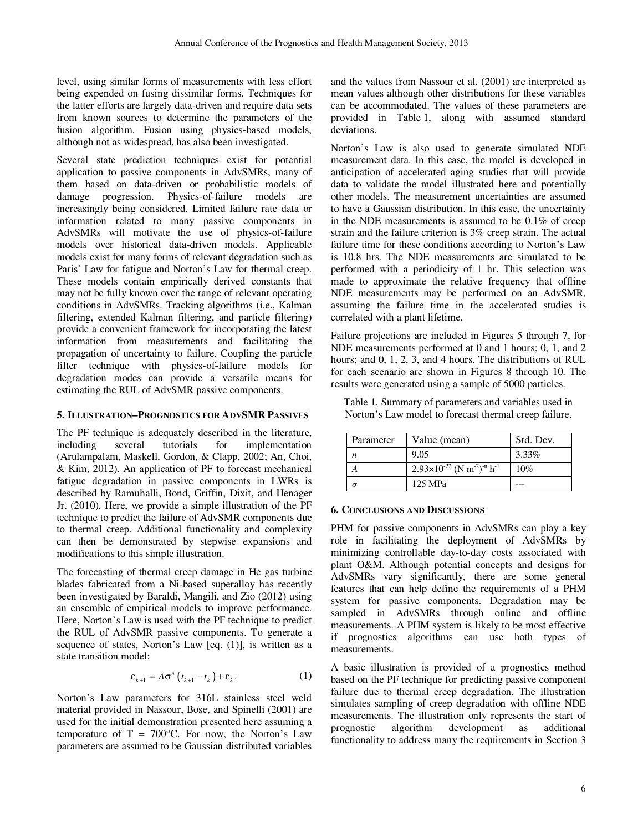level, using similar forms of measurements with less effort being expended on fusing dissimilar forms. Techniques for the latter efforts are largely data-driven and require data sets from known sources to determine the parameters of the fusion algorithm. Fusion using physics-based models, although not as widespread, has also been investigated.

Several state prediction techniques exist for potential application to passive components in AdvSMRs, many of them based on data-driven or probabilistic models of damage progression. Physics-of-failure models are increasingly being considered. Limited failure rate data or information related to many passive components in AdvSMRs will motivate the use of physics-of-failure models over historical data-driven models. Applicable models exist for many forms of relevant degradation such as Paris' Law for fatigue and Norton's Law for thermal creep. These models contain empirically derived constants that may not be fully known over the range of relevant operating conditions in AdvSMRs. Tracking algorithms (i.e., Kalman filtering, extended Kalman filtering, and particle filtering) provide a convenient framework for incorporating the latest information from measurements and facilitating the propagation of uncertainty to failure. Coupling the particle filter technique with physics-of-failure models for degradation modes can provide a versatile means for estimating the RUL of AdvSMR passive components.

# **5. ILLUSTRATION–PROGNOSTICS FOR ADVSMR PASSIVES**

The PF technique is adequately described in the literature,<br>including several tutorials for implementation implementation (Arulampalam, Maskell, Gordon, & Clapp, 2002; An, Choi, & Kim, 2012). An application of PF to forecast mechanical fatigue degradation in passive components in LWRs is described by Ramuhalli, Bond, Griffin, Dixit, and Henager Jr. (2010). Here, we provide a simple illustration of the PF technique to predict the failure of AdvSMR components due to thermal creep. Additional functionality and complexity can then be demonstrated by stepwise expansions and modifications to this simple illustration.

The forecasting of thermal creep damage in He gas turbine blades fabricated from a Ni-based superalloy has recently been investigated by Baraldi, Mangili, and Zio (2012) using an ensemble of empirical models to improve performance. Here, Norton's Law is used with the PF technique to predict the RUL of AdvSMR passive components. To generate a sequence of states, Norton's Law [eq. (1)], is written as a state transition model:

$$
\varepsilon_{k+1} = A\sigma^n \left( t_{k+1} - t_k \right) + \varepsilon_k. \tag{1}
$$

Norton's Law parameters for 316L stainless steel weld material provided in Nassour, Bose, and Spinelli (2001) are used for the initial demonstration presented here assuming a temperature of  $T = 700$ °C. For now, the Norton's Law parameters are assumed to be Gaussian distributed variables

and the values from Nassour et al. (2001) are interpreted as mean values although other distributions for these variables can be accommodated. The values of these parameters are provided in Table 1, along with assumed standard deviations.

Norton's Law is also used to generate simulated NDE measurement data. In this case, the model is developed in anticipation of accelerated aging studies that will provide data to validate the model illustrated here and potentially other models. The measurement uncertainties are assumed to have a Gaussian distribution. In this case, the uncertainty in the NDE measurements is assumed to be 0.1% of creep strain and the failure criterion is 3% creep strain. The actual failure time for these conditions according to Norton's Law is 10.8 hrs. The NDE measurements are simulated to be performed with a periodicity of 1 hr. This selection was made to approximate the relative frequency that offline NDE measurements may be performed on an AdvSMR, assuming the failure time in the accelerated studies is correlated with a plant lifetime.

Failure projections are included in Figures 5 through 7, for NDE measurements performed at 0 and 1 hours; 0, 1, and 2 hours; and 0, 1, 2, 3, and 4 hours. The distributions of RUL for each scenario are shown in Figures 8 through 10. The results were generated using a sample of 5000 particles.

Table 1. Summary of parameters and variables used in Norton's Law model to forecast thermal creep failure.

| Parameter | Value (mean)                                                            | Std. Dev. |
|-----------|-------------------------------------------------------------------------|-----------|
|           | 9.05                                                                    | 3.33%     |
|           | $2.93\times10^{-22}$ (N m <sup>-2</sup> ) <sup>-n</sup> h <sup>-1</sup> | 10%       |
|           | 125 MPa                                                                 |           |

## **6. CONCLUSIONS AND DISCUSSIONS**

PHM for passive components in AdvSMRs can play a key role in facilitating the deployment of AdvSMRs by minimizing controllable day-to-day costs associated with plant O&M. Although potential concepts and designs for AdvSMRs vary significantly, there are some general features that can help define the requirements of a PHM system for passive components. Degradation may be sampled in AdvSMRs through online and offline measurements. A PHM system is likely to be most effective if prognostics algorithms can use both types of measurements.

A basic illustration is provided of a prognostics method based on the PF technique for predicting passive component failure due to thermal creep degradation. The illustration simulates sampling of creep degradation with offline NDE measurements. The illustration only represents the start of prognostic algorithm development as additional prognostic algorithm development as functionality to address many the requirements in Section 3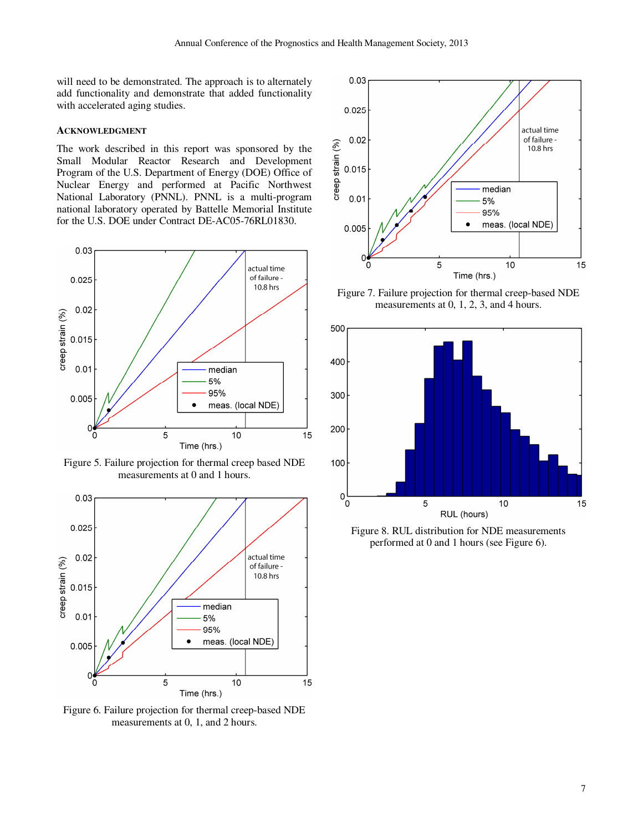will need to be demonstrated. The approach is to alternately add functionality and demonstrate that added functionality with accelerated aging studies.

## **ACKNOWLEDGMENT**

The work described in this report was sponsored by the Small Modular Reactor Research and Development Program of the U.S. Department of Energy (DOE) Office of Nuclear Energy and performed at Pacific Northwest National Laboratory (PNNL). PNNL is a multi-program national laboratory operated by Battelle Memorial Institute for the U.S. DOE under Contract DE-AC05-76RL01830.



Figure 5. Failure projection for thermal creep based NDE measurements at 0 and 1 hours.



Figure 6. Failure projection for thermal creep-based NDE measurements at 0, 1, and 2 hours.



Figure 7. Failure projection for thermal creep-based NDE measurements at 0, 1, 2, 3, and 4 hours.



Figure 8. RUL distribution for NDE measurements performed at 0 and 1 hours (see Figure 6).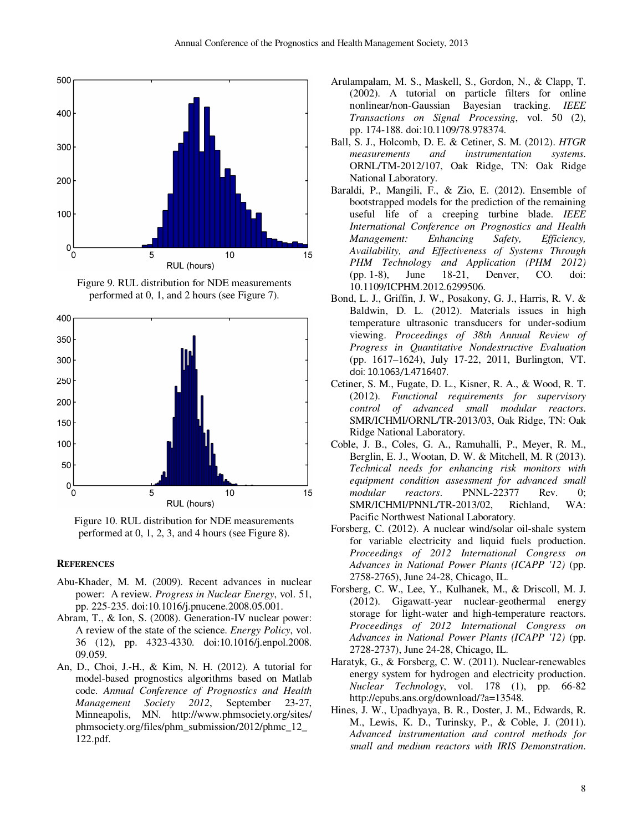

Figure 9. RUL distribution for NDE measurements performed at 0, 1, and 2 hours (see Figure 7).



Figure 10. RUL distribution for NDE measurements performed at 0, 1, 2, 3, and 4 hours (see Figure 8).

#### **REFERENCES**

- Abu-Khader, M. M. (2009). Recent advances in nuclear power: A review. *Progress in Nuclear Energy*, vol. 51, pp. 225-235. doi:10.1016/j.pnucene.2008.05.001.
- Abram, T., & Ion, S. (2008). Generation-IV nuclear power: A review of the state of the science. *Energy Policy*, vol. 36 (12), pp. 4323-4330. doi:10.1016/j.enpol.2008. 09.059.
- An, D., Choi, J.-H., & Kim, N. H. (2012). A tutorial for model-based prognostics algorithms based on Matlab code. *Annual Conference of Prognostics and Health Management Society 2012*, September 23-27, Minneapolis, MN. http://www.phmsociety.org/sites/ phmsociety.org/files/phm\_submission/2012/phmc\_12\_ 122.pdf.
- Arulampalam, M. S., Maskell, S., Gordon, N., & Clapp, T. (2002). A tutorial on particle filters for online nonlinear/non-Gaussian Bayesian tracking. *IEEE Transactions on Signal Processing*, vol. 50 (2), pp. 174-188. doi:10.1109/78.978374.
- Ball, S. J., Holcomb, D. E. & Cetiner, S. M. (2012). *HTGR measurements and instrumentation systems*. ORNL/TM-2012/107, Oak Ridge, TN: Oak Ridge National Laboratory.
- Baraldi, P., Mangili, F., & Zio, E. (2012). Ensemble of bootstrapped models for the prediction of the remaining useful life of a creeping turbine blade. *IEEE International Conference on Prognostics and Health Management: Enhancing Safety, Efficiency, Availability, and Effectiveness of Systems Through PHM Technology and Application (PHM 2012)* (pp. 1-8), June 18-21, Denver, CO. doi: 10.1109/ICPHM.2012.6299506.
- Bond, L. J., Griffin, J. W., Posakony, G. J., Harris, R. V. & Baldwin, D. L. (2012). Materials issues in high temperature ultrasonic transducers for under-sodium viewing. *Proceedings of 38th Annual Review of Progress in Quantitative Nondestructive Evaluation* (pp. 1617–1624), July 17-22, 2011, Burlington, VT. doi: 10.1063/1.4716407.
- Cetiner, S. M., Fugate, D. L., Kisner, R. A., & Wood, R. T. (2012). *Functional requirements for supervisory control of advanced small modular reactors*. SMR/ICHMI/ORNL/TR-2013/03, Oak Ridge, TN: Oak Ridge National Laboratory.
- Coble, J. B., Coles, G. A., Ramuhalli, P., Meyer, R. M., Berglin, E. J., Wootan, D. W. & Mitchell, M. R (2013). *Technical needs for enhancing risk monitors with equipment condition assessment for advanced small modular reactors*. PNNL-22377 Rev. 0; SMR/ICHMI/PNNL/TR-2013/02, Richland, WA: Pacific Northwest National Laboratory.
- Forsberg, C. (2012). A nuclear wind/solar oil-shale system for variable electricity and liquid fuels production. *Proceedings of 2012 International Congress on Advances in National Power Plants (ICAPP '12)* (pp. 2758-2765), June 24-28, Chicago, IL.
- Forsberg, C. W., Lee, Y., Kulhanek, M., & Driscoll, M. J. (2012). Gigawatt-year nuclear-geothermal energy storage for light-water and high-temperature reactors. *Proceedings of 2012 International Congress on Advances in National Power Plants (ICAPP '12)* (pp. 2728-2737), June 24-28, Chicago, IL.
- Haratyk, G., & Forsberg, C. W. (2011). Nuclear-renewables energy system for hydrogen and electricity production. *Nuclear Technology*, vol. 178 (1), pp. 66-82 http://epubs.ans.org/download/?a=13548.
- Hines, J. W., Upadhyaya, B. R., Doster, J. M., Edwards, R. M., Lewis, K. D., Turinsky, P., & Coble, J. (2011). *Advanced instrumentation and control methods for small and medium reactors with IRIS Demonstration*.